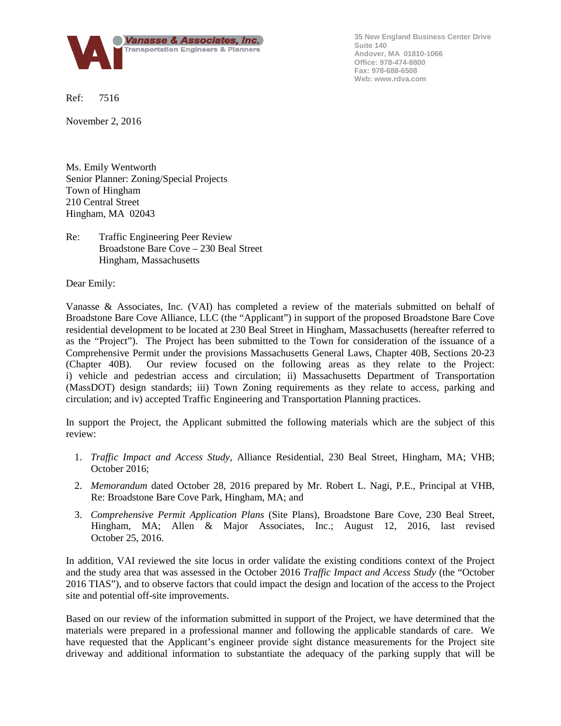

**35 New England Business Center Drive Suite 140 Andover, MA 01810-1066 Office: 978-474-8800 Fax: 978-688-6508 Web: www.rdva.com**

Ref: 7516

November 2, 2016

Ms. Emily Wentworth Senior Planner: Zoning/Special Projects Town of Hingham 210 Central Street Hingham, MA 02043

Re: Traffic Engineering Peer Review Broadstone Bare Cove – 230 Beal Street Hingham, Massachusetts

Dear Emily:

Vanasse & Associates, Inc. (VAI) has completed a review of the materials submitted on behalf of Broadstone Bare Cove Alliance, LLC (the "Applicant") in support of the proposed Broadstone Bare Cove residential development to be located at 230 Beal Street in Hingham, Massachusetts (hereafter referred to as the "Project"). The Project has been submitted to the Town for consideration of the issuance of a Comprehensive Permit under the provisions Massachusetts General Laws, Chapter 40B, Sections 20-23 (Chapter 40B). Our review focused on the following areas as they relate to the Project: i) vehicle and pedestrian access and circulation; ii) Massachusetts Department of Transportation (MassDOT) design standards; iii) Town Zoning requirements as they relate to access, parking and circulation; and iv) accepted Traffic Engineering and Transportation Planning practices.

In support the Project, the Applicant submitted the following materials which are the subject of this review:

- 1. *Traffic Impact and Access Study*, Alliance Residential, 230 Beal Street, Hingham, MA; VHB; October 2016;
- 2. *Memorandum* dated October 28, 2016 prepared by Mr. Robert L. Nagi, P.E., Principal at VHB, Re: Broadstone Bare Cove Park, Hingham, MA; and
- 3. *Comprehensive Permit Application Plans* (Site Plans), Broadstone Bare Cove, 230 Beal Street, Hingham, MA; Allen & Major Associates, Inc.; August 12, 2016, last revised October 25, 2016.

In addition, VAI reviewed the site locus in order validate the existing conditions context of the Project and the study area that was assessed in the October 2016 *Traffic Impact and Access Study* (the "October 2016 TIAS"), and to observe factors that could impact the design and location of the access to the Project site and potential off-site improvements.

Based on our review of the information submitted in support of the Project, we have determined that the materials were prepared in a professional manner and following the applicable standards of care. We have requested that the Applicant's engineer provide sight distance measurements for the Project site driveway and additional information to substantiate the adequacy of the parking supply that will be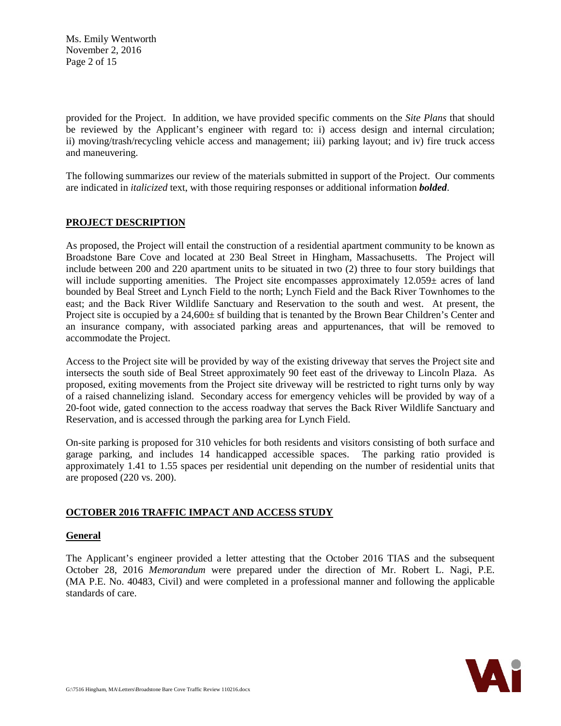Ms. Emily Wentworth November 2, 2016 Page 2 of 15

provided for the Project. In addition, we have provided specific comments on the *Site Plans* that should be reviewed by the Applicant's engineer with regard to: i) access design and internal circulation; ii) moving/trash/recycling vehicle access and management; iii) parking layout; and iv) fire truck access and maneuvering.

The following summarizes our review of the materials submitted in support of the Project. Our comments are indicated in *italicized* text, with those requiring responses or additional information *bolded*.

# **PROJECT DESCRIPTION**

As proposed, the Project will entail the construction of a residential apartment community to be known as Broadstone Bare Cove and located at 230 Beal Street in Hingham, Massachusetts. The Project will include between 200 and 220 apartment units to be situated in two (2) three to four story buildings that will include supporting amenities. The Project site encompasses approximately 12.059± acres of land bounded by Beal Street and Lynch Field to the north; Lynch Field and the Back River Townhomes to the east; and the Back River Wildlife Sanctuary and Reservation to the south and west. At present, the Project site is occupied by a 24,600± sf building that is tenanted by the Brown Bear Children's Center and an insurance company, with associated parking areas and appurtenances, that will be removed to accommodate the Project.

Access to the Project site will be provided by way of the existing driveway that serves the Project site and intersects the south side of Beal Street approximately 90 feet east of the driveway to Lincoln Plaza. As proposed, exiting movements from the Project site driveway will be restricted to right turns only by way of a raised channelizing island. Secondary access for emergency vehicles will be provided by way of a 20-foot wide, gated connection to the access roadway that serves the Back River Wildlife Sanctuary and Reservation, and is accessed through the parking area for Lynch Field.

On-site parking is proposed for 310 vehicles for both residents and visitors consisting of both surface and garage parking, and includes 14 handicapped accessible spaces. The parking ratio provided is approximately 1.41 to 1.55 spaces per residential unit depending on the number of residential units that are proposed (220 vs. 200).

### **OCTOBER 2016 TRAFFIC IMPACT AND ACCESS STUDY**

### **General**

The Applicant's engineer provided a letter attesting that the October 2016 TIAS and the subsequent October 28, 2016 *Memorandum* were prepared under the direction of Mr. Robert L. Nagi, P.E. (MA P.E. No. 40483, Civil) and were completed in a professional manner and following the applicable standards of care.

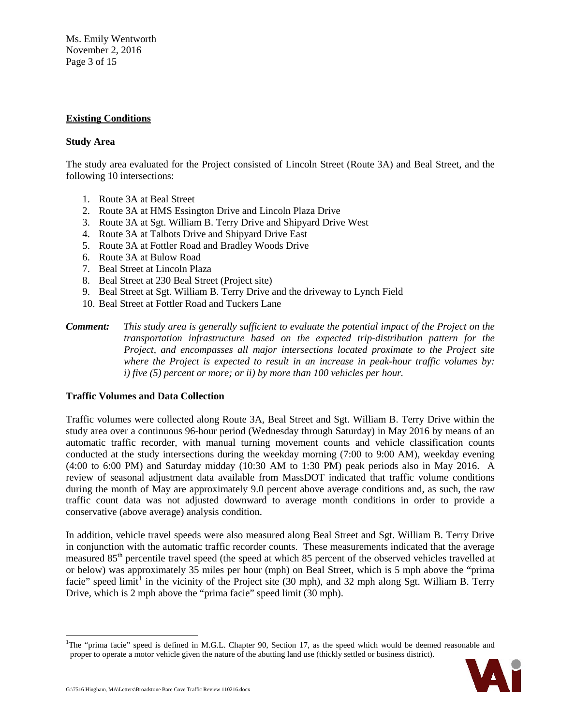Ms. Emily Wentworth November 2, 2016 Page 3 of 15

### **Existing Conditions**

#### **Study Area**

The study area evaluated for the Project consisted of Lincoln Street (Route 3A) and Beal Street, and the following 10 intersections:

- 1. Route 3A at Beal Street
- 2. Route 3A at HMS Essington Drive and Lincoln Plaza Drive
- 3. Route 3A at Sgt. William B. Terry Drive and Shipyard Drive West
- 4. Route 3A at Talbots Drive and Shipyard Drive East
- 5. Route 3A at Fottler Road and Bradley Woods Drive
- 6. Route 3A at Bulow Road
- 7. Beal Street at Lincoln Plaza
- 8. Beal Street at 230 Beal Street (Project site)
- 9. Beal Street at Sgt. William B. Terry Drive and the driveway to Lynch Field
- 10. Beal Street at Fottler Road and Tuckers Lane

### **Traffic Volumes and Data Collection**

Traffic volumes were collected along Route 3A, Beal Street and Sgt. William B. Terry Drive within the study area over a continuous 96-hour period (Wednesday through Saturday) in May 2016 by means of an automatic traffic recorder, with manual turning movement counts and vehicle classification counts conducted at the study intersections during the weekday morning (7:00 to 9:00 AM), weekday evening (4:00 to 6:00 PM) and Saturday midday (10:30 AM to 1:30 PM) peak periods also in May 2016. A review of seasonal adjustment data available from MassDOT indicated that traffic volume conditions during the month of May are approximately 9.0 percent above average conditions and, as such, the raw traffic count data was not adjusted downward to average month conditions in order to provide a conservative (above average) analysis condition.

In addition, vehicle travel speeds were also measured along Beal Street and Sgt. William B. Terry Drive in conjunction with the automatic traffic recorder counts. These measurements indicated that the average measured 85<sup>th</sup> percentile travel speed (the speed at which 85 percent of the observed vehicles travelled at or below) was approximately 35 miles per hour (mph) on Beal Street, which is 5 mph above the "prima facie" speed  $\text{limit}^1$  $\text{limit}^1$  in the vicinity of the Project site (30 mph), and 32 mph along Sgt. William B. Terry Drive, which is 2 mph above the "prima facie" speed limit (30 mph).

<span id="page-2-0"></span><sup>|&</sup>lt;br>|<br>| <sup>1</sup>The "prima facie" speed is defined in M.G.L. Chapter 90, Section 17, as the speed which would be deemed reasonable and proper to operate a motor vehicle given the nature of the abutting land use (thickly settled or business district).



*Comment: This study area is generally sufficient to evaluate the potential impact of the Project on the transportation infrastructure based on the expected trip-distribution pattern for the Project, and encompasses all major intersections located proximate to the Project site where the Project is expected to result in an increase in peak-hour traffic volumes by: i) five (5) percent or more; or ii) by more than 100 vehicles per hour.*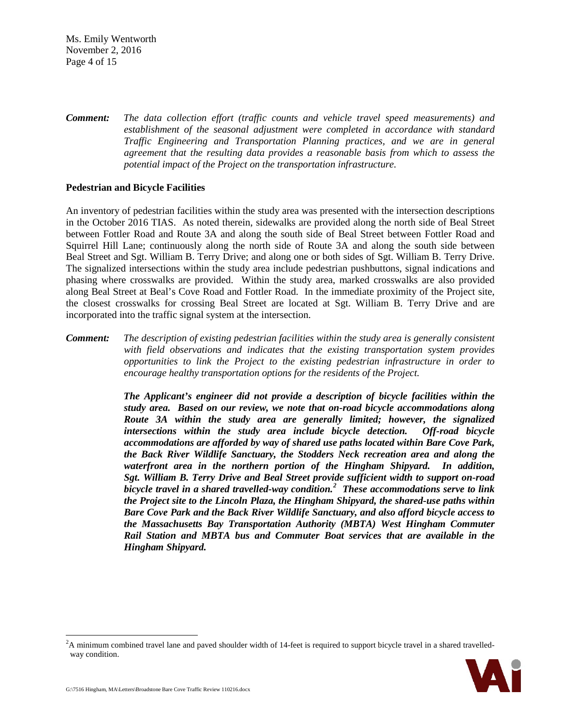Ms. Emily Wentworth November 2, 2016 Page 4 of 15

*Comment: The data collection effort (traffic counts and vehicle travel speed measurements) and establishment of the seasonal adjustment were completed in accordance with standard Traffic Engineering and Transportation Planning practices, and we are in general agreement that the resulting data provides a reasonable basis from which to assess the potential impact of the Project on the transportation infrastructure.*

#### **Pedestrian and Bicycle Facilities**

An inventory of pedestrian facilities within the study area was presented with the intersection descriptions in the October 2016 TIAS. As noted therein, sidewalks are provided along the north side of Beal Street between Fottler Road and Route 3A and along the south side of Beal Street between Fottler Road and Squirrel Hill Lane; continuously along the north side of Route 3A and along the south side between Beal Street and Sgt. William B. Terry Drive; and along one or both sides of Sgt. William B. Terry Drive. The signalized intersections within the study area include pedestrian pushbuttons, signal indications and phasing where crosswalks are provided. Within the study area, marked crosswalks are also provided along Beal Street at Beal's Cove Road and Fottler Road. In the immediate proximity of the Project site, the closest crosswalks for crossing Beal Street are located at Sgt. William B. Terry Drive and are incorporated into the traffic signal system at the intersection.

*Comment: The description of existing pedestrian facilities within the study area is generally consistent with field observations and indicates that the existing transportation system provides opportunities to link the Project to the existing pedestrian infrastructure in order to encourage healthy transportation options for the residents of the Project.*

> *The Applicant's engineer did not provide a description of bicycle facilities within the study area. Based on our review, we note that on-road bicycle accommodations along Route 3A within the study area are generally limited; however, the signalized intersections within the study area include bicycle detection. Off-road bicycle accommodations are afforded by way of shared use paths located within Bare Cove Park, the Back River Wildlife Sanctuary, the Stodders Neck recreation area and along the waterfront area in the northern portion of the Hingham Shipyard. In addition, Sgt. William B. Terry Drive and Beal Street provide sufficient width to support on-road bicycle travel in a shared travelled-way condition.[2](#page-3-0) These accommodations serve to link the Project site to the Lincoln Plaza, the Hingham Shipyard, the shared-use paths within Bare Cove Park and the Back River Wildlife Sanctuary, and also afford bicycle access to the Massachusetts Bay Transportation Authority (MBTA) West Hingham Commuter Rail Station and MBTA bus and Commuter Boat services that are available in the Hingham Shipyard.*

<span id="page-3-0"></span> $\frac{1}{2}$  ${}^{2}$ A minimum combined travel lane and paved shoulder width of 14-feet is required to support bicycle travel in a shared travelledway condition.

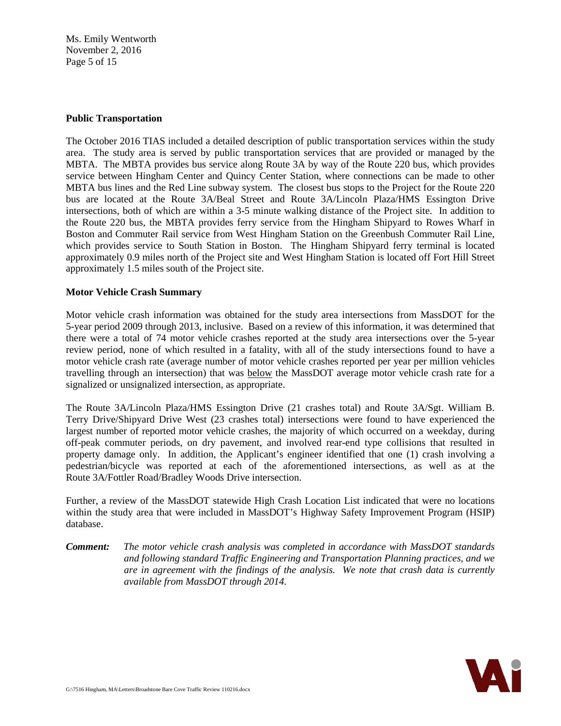Ms. Emily Wentworth November 2, 2016 Page 5 of 15

#### **Public Transportation**

The October 2016 TIAS included a detailed description of public transportation services within the study area. The study area is served by public transportation services that are provided or managed by the MBTA. The MBTA provides bus service along Route 3A by way of the Route 220 bus, which provides service between Hingham Center and Quincy Center Station, where connections can be made to other MBTA bus lines and the Red Line subway system. The closest bus stops to the Project for the Route 220 bus are located at the Route 3A/Beal Street and Route 3A/Lincoln Plaza/HMS Essington Drive intersections, both of which are within a 3-5 minute walking distance of the Project site. In addition to the Route 220 bus, the MBTA provides ferry service from the Hingham Shipyard to Rowes Wharf in Boston and Commuter Rail service from West Hingham Station on the Greenbush Commuter Rail Line, which provides service to South Station in Boston. The Hingham Shipyard ferry terminal is located approximately 0.9 miles north of the Project site and West Hingham Station is located off Fort Hill Street approximately 1.5 miles south of the Project site.

### **Motor Vehicle Crash Summary**

Motor vehicle crash information was obtained for the study area intersections from MassDOT for the 5-year period 2009 through 2013, inclusive. Based on a review of this information, it was determined that there were a total of 74 motor vehicle crashes reported at the study area intersections over the 5-year review period, none of which resulted in a fatality, with all of the study intersections found to have a motor vehicle crash rate (average number of motor vehicle crashes reported per year per million vehicles travelling through an intersection) that was below the MassDOT average motor vehicle crash rate for a signalized or unsignalized intersection, as appropriate.

The Route 3A/Lincoln Plaza/HMS Essington Drive (21 crashes total) and Route 3A/Sgt. William B. Terry Drive/Shipyard Drive West (23 crashes total) intersections were found to have experienced the largest number of reported motor vehicle crashes, the majority of which occurred on a weekday, during off-peak commuter periods, on dry pavement, and involved rear-end type collisions that resulted in property damage only. In addition, the Applicant's engineer identified that one (1) crash involving a pedestrian/bicycle was reported at each of the aforementioned intersections, as well as at the Route 3A/Fottler Road/Bradley Woods Drive intersection.

Further, a review of the MassDOT statewide High Crash Location List indicated that were no locations within the study area that were included in MassDOT's Highway Safety Improvement Program (HSIP) database.

*Comment: The motor vehicle crash analysis was completed in accordance with MassDOT standards and following standard Traffic Engineering and Transportation Planning practices, and we are in agreement with the findings of the analysis. We note that crash data is currently available from MassDOT through 2014.*

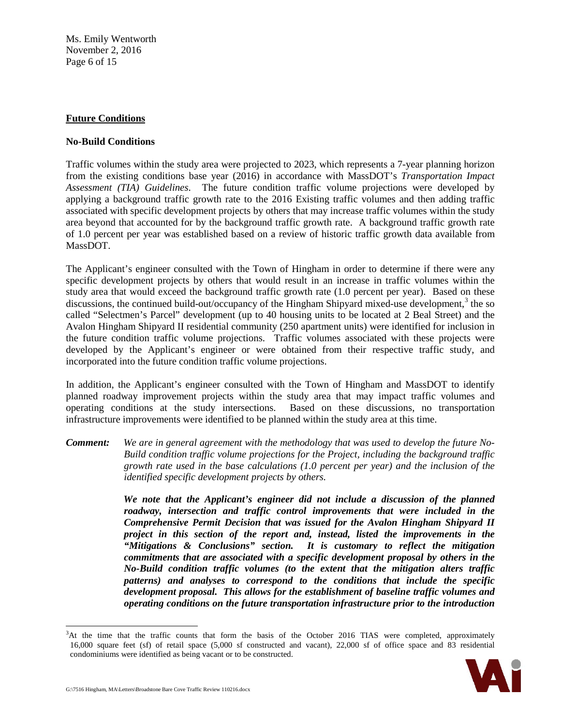Ms. Emily Wentworth November 2, 2016 Page 6 of 15

#### **Future Conditions**

#### **No-Build Conditions**

Traffic volumes within the study area were projected to 2023, which represents a 7-year planning horizon from the existing conditions base year (2016) in accordance with MassDOT's *Transportation Impact Assessment (TIA) Guidelines*. The future condition traffic volume projections were developed by applying a background traffic growth rate to the 2016 Existing traffic volumes and then adding traffic associated with specific development projects by others that may increase traffic volumes within the study area beyond that accounted for by the background traffic growth rate. A background traffic growth rate of 1.0 percent per year was established based on a review of historic traffic growth data available from MassDOT.

The Applicant's engineer consulted with the Town of Hingham in order to determine if there were any specific development projects by others that would result in an increase in traffic volumes within the study area that would exceed the background traffic growth rate (1.0 percent per year). Based on these discussions, the continued build-out/occupancy of the Hingham Shipyard mixed-use development,<sup>[3](#page-5-0)</sup> the so called "Selectmen's Parcel" development (up to 40 housing units to be located at 2 Beal Street) and the Avalon Hingham Shipyard II residential community (250 apartment units) were identified for inclusion in the future condition traffic volume projections. Traffic volumes associated with these projects were developed by the Applicant's engineer or were obtained from their respective traffic study, and incorporated into the future condition traffic volume projections.

In addition, the Applicant's engineer consulted with the Town of Hingham and MassDOT to identify planned roadway improvement projects within the study area that may impact traffic volumes and operating conditions at the study intersections. Based on these discussions, no transportation infrastructure improvements were identified to be planned within the study area at this time.

*Comment: We are in general agreement with the methodology that was used to develop the future No-Build condition traffic volume projections for the Project, including the background traffic growth rate used in the base calculations (1.0 percent per year) and the inclusion of the identified specific development projects by others.*

> *We note that the Applicant's engineer did not include a discussion of the planned roadway, intersection and traffic control improvements that were included in the Comprehensive Permit Decision that was issued for the Avalon Hingham Shipyard II project in this section of the report and, instead, listed the improvements in the "Mitigations & Conclusions" section. It is customary to reflect the mitigation commitments that are associated with a specific development proposal by others in the No-Build condition traffic volumes (to the extent that the mitigation alters traffic patterns) and analyses to correspond to the conditions that include the specific development proposal. This allows for the establishment of baseline traffic volumes and operating conditions on the future transportation infrastructure prior to the introduction*

<span id="page-5-0"></span> <sup>3</sup> <sup>3</sup>At the time that the traffic counts that form the basis of the October 2016 TIAS were completed, approximately 16,000 square feet (sf) of retail space (5,000 sf constructed and vacant), 22,000 sf of office space and 83 residential condominiums were identified as being vacant or to be constructed.

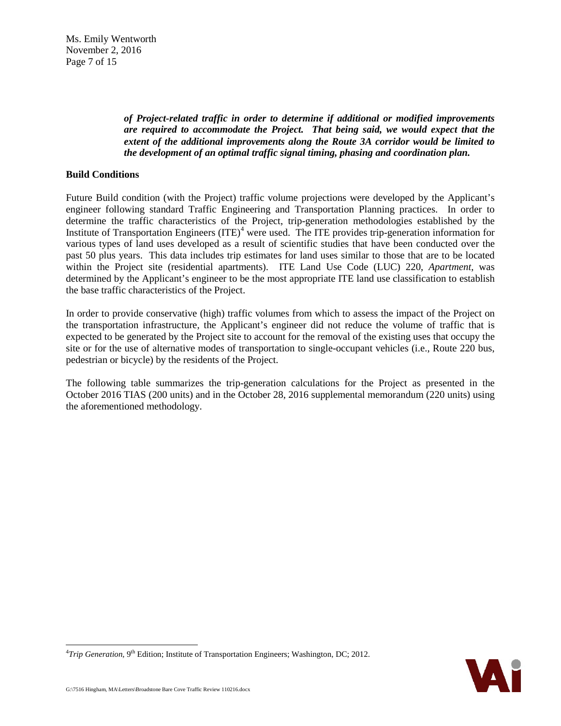Ms. Emily Wentworth November 2, 2016 Page 7 of 15

> *of Project-related traffic in order to determine if additional or modified improvements are required to accommodate the Project. That being said, we would expect that the extent of the additional improvements along the Route 3A corridor would be limited to the development of an optimal traffic signal timing, phasing and coordination plan.*

### **Build Conditions**

Future Build condition (with the Project) traffic volume projections were developed by the Applicant's engineer following standard Traffic Engineering and Transportation Planning practices. In order to determine the traffic characteristics of the Project, trip-generation methodologies established by the Institute of Transportation Engineers  $(ITE)^4$  $(ITE)^4$  were used. The ITE provides trip-generation information for various types of land uses developed as a result of scientific studies that have been conducted over the past 50 plus years. This data includes trip estimates for land uses similar to those that are to be located within the Project site (residential apartments). ITE Land Use Code (LUC) 220, *Apartment*, was determined by the Applicant's engineer to be the most appropriate ITE land use classification to establish the base traffic characteristics of the Project.

In order to provide conservative (high) traffic volumes from which to assess the impact of the Project on the transportation infrastructure, the Applicant's engineer did not reduce the volume of traffic that is expected to be generated by the Project site to account for the removal of the existing uses that occupy the site or for the use of alternative modes of transportation to single-occupant vehicles (i.e., Route 220 bus, pedestrian or bicycle) by the residents of the Project.

The following table summarizes the trip-generation calculations for the Project as presented in the October 2016 TIAS (200 units) and in the October 28, 2016 supplemental memorandum (220 units) using the aforementioned methodology.



<span id="page-6-0"></span><sup>-&</sup>lt;br>4 <sup>4</sup>Trip Generation,  $9<sup>th</sup>$  Edition; Institute of Transportation Engineers; Washington, DC; 2012.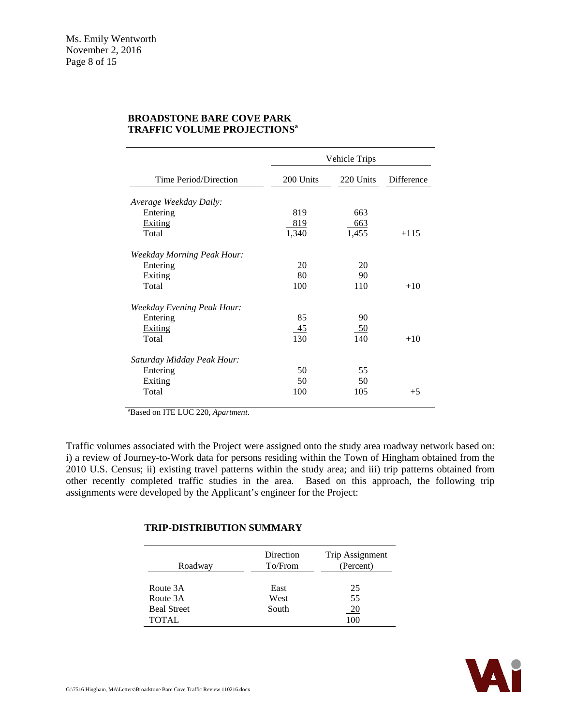|                                                            | Vehicle Trips    |                         |            |
|------------------------------------------------------------|------------------|-------------------------|------------|
| Time Period/Direction                                      | 200 Units        | 220 Units               | Difference |
| Average Weekday Daily:                                     |                  |                         |            |
| Entering                                                   | 819              | 663                     |            |
| Exiting                                                    | 819              | 663                     |            |
| Total                                                      | 1,340            | 1,455                   | $+115$     |
| Weekday Morning Peak Hour:<br>Entering<br>Exiting<br>Total | 20<br>80<br>100  | 20<br><u>_90</u><br>110 | $+10$      |
| <b>Weekday Evening Peak Hour:</b>                          |                  |                         |            |
| Entering                                                   | 85               | 90                      |            |
| Exiting                                                    | 45               | - 50                    |            |
| Total                                                      | 130              | 140                     | $+10$      |
| Saturday Midday Peak Hour:<br>Entering<br>Exiting<br>Total | 50<br>-50<br>100 | 55<br>- 50<br>105       |            |
|                                                            |                  |                         | $+5$       |

#### **BROADSTONE BARE COVE PARK TRAFFIC VOLUME PROJECTIONS<sup>a</sup>**

a Based on ITE LUC 220, *Apartment*.

Traffic volumes associated with the Project were assigned onto the study area roadway network based on: i) a review of Journey-to-Work data for persons residing within the Town of Hingham obtained from the 2010 U.S. Census; ii) existing travel patterns within the study area; and iii) trip patterns obtained from other recently completed traffic studies in the area. Based on this approach, the following trip assignments were developed by the Applicant's engineer for the Project:

### **TRIP-DISTRIBUTION SUMMARY**

| Roadway            | Direction<br>To/From | Trip Assignment<br>(Percent) |
|--------------------|----------------------|------------------------------|
| Route 3A           | East                 | 25                           |
| Route 3A           | West                 | 55                           |
| <b>Beal Street</b> | South                | <u>20</u>                    |
| <b>TOTAL</b>       |                      | 100                          |

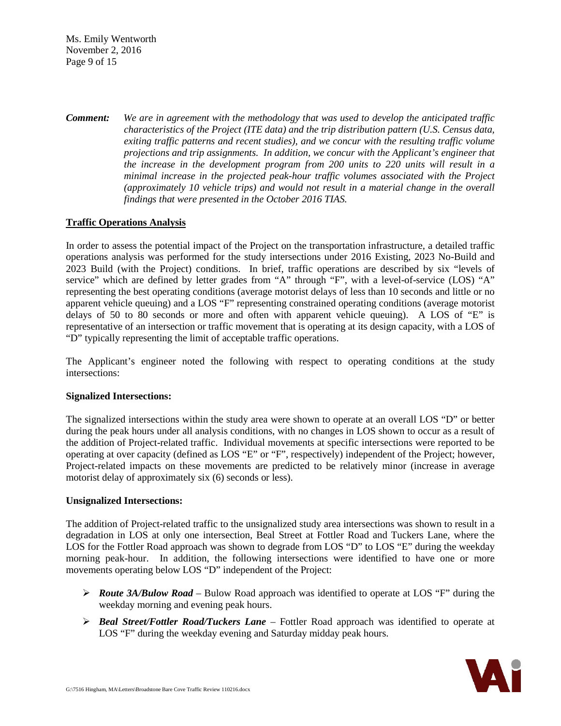Ms. Emily Wentworth November 2, 2016 Page 9 of 15

*Comment: We are in agreement with the methodology that was used to develop the anticipated traffic characteristics of the Project (ITE data) and the trip distribution pattern (U.S. Census data, exiting traffic patterns and recent studies), and we concur with the resulting traffic volume projections and trip assignments. In addition, we concur with the Applicant's engineer that the increase in the development program from 200 units to 220 units will result in a minimal increase in the projected peak-hour traffic volumes associated with the Project (approximately 10 vehicle trips) and would not result in a material change in the overall findings that were presented in the October 2016 TIAS.*

# **Traffic Operations Analysis**

In order to assess the potential impact of the Project on the transportation infrastructure, a detailed traffic operations analysis was performed for the study intersections under 2016 Existing, 2023 No-Build and 2023 Build (with the Project) conditions. In brief, traffic operations are described by six "levels of service" which are defined by letter grades from "A" through "F", with a level-of-service (LOS) "A" representing the best operating conditions (average motorist delays of less than 10 seconds and little or no apparent vehicle queuing) and a LOS "F" representing constrained operating conditions (average motorist delays of 50 to 80 seconds or more and often with apparent vehicle queuing). A LOS of "E" is representative of an intersection or traffic movement that is operating at its design capacity, with a LOS of "D" typically representing the limit of acceptable traffic operations.

The Applicant's engineer noted the following with respect to operating conditions at the study intersections:

### **Signalized Intersections:**

The signalized intersections within the study area were shown to operate at an overall LOS "D" or better during the peak hours under all analysis conditions, with no changes in LOS shown to occur as a result of the addition of Project-related traffic. Individual movements at specific intersections were reported to be operating at over capacity (defined as LOS "E" or "F", respectively) independent of the Project; however, Project-related impacts on these movements are predicted to be relatively minor (increase in average motorist delay of approximately six (6) seconds or less).

### **Unsignalized Intersections:**

The addition of Project-related traffic to the unsignalized study area intersections was shown to result in a degradation in LOS at only one intersection, Beal Street at Fottler Road and Tuckers Lane, where the LOS for the Fottler Road approach was shown to degrade from LOS "D" to LOS "E" during the weekday morning peak-hour. In addition, the following intersections were identified to have one or more movements operating below LOS "D" independent of the Project:

- *Route 3A/Bulow Road* Bulow Road approach was identified to operate at LOS "F" during the weekday morning and evening peak hours.
- *Beal Street/Fottler Road/Tuckers Lane* Fottler Road approach was identified to operate at LOS "F" during the weekday evening and Saturday midday peak hours.

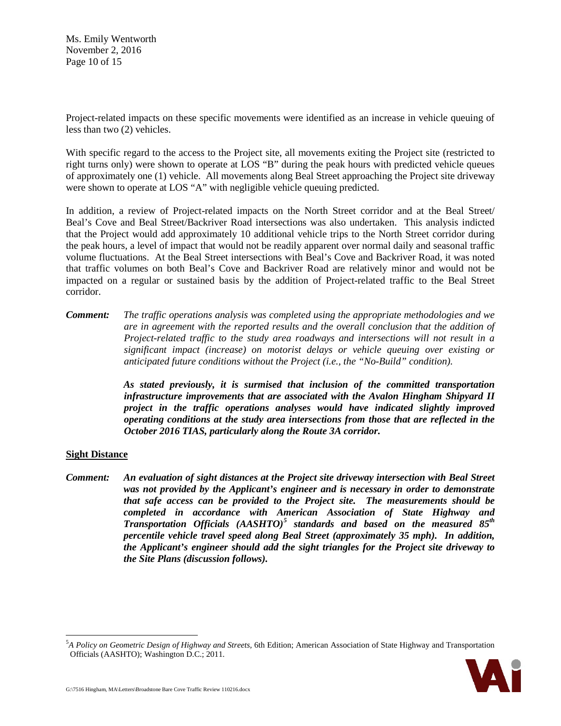Ms. Emily Wentworth November 2, 2016 Page 10 of 15

Project-related impacts on these specific movements were identified as an increase in vehicle queuing of less than two (2) vehicles.

With specific regard to the access to the Project site, all movements exiting the Project site (restricted to right turns only) were shown to operate at LOS "B" during the peak hours with predicted vehicle queues of approximately one (1) vehicle. All movements along Beal Street approaching the Project site driveway were shown to operate at LOS "A" with negligible vehicle queuing predicted.

In addition, a review of Project-related impacts on the North Street corridor and at the Beal Street/ Beal's Cove and Beal Street/Backriver Road intersections was also undertaken. This analysis indicted that the Project would add approximately 10 additional vehicle trips to the North Street corridor during the peak hours, a level of impact that would not be readily apparent over normal daily and seasonal traffic volume fluctuations. At the Beal Street intersections with Beal's Cove and Backriver Road, it was noted that traffic volumes on both Beal's Cove and Backriver Road are relatively minor and would not be impacted on a regular or sustained basis by the addition of Project-related traffic to the Beal Street corridor.

*Comment: The traffic operations analysis was completed using the appropriate methodologies and we are in agreement with the reported results and the overall conclusion that the addition of Project-related traffic to the study area roadways and intersections will not result in a significant impact (increase) on motorist delays or vehicle queuing over existing or anticipated future conditions without the Project (i.e., the "No-Build" condition).*

> *As stated previously, it is surmised that inclusion of the committed transportation infrastructure improvements that are associated with the Avalon Hingham Shipyard II project in the traffic operations analyses would have indicated slightly improved operating conditions at the study area intersections from those that are reflected in the October 2016 TIAS, particularly along the Route 3A corridor.*

#### **Sight Distance**

*Comment: An evaluation of sight distances at the Project site driveway intersection with Beal Street was not provided by the Applicant's engineer and is necessary in order to demonstrate that safe access can be provided to the Project site. The measurements should be completed in accordance with American Association of State Highway and Transportation Officials (AASHTO)[5](#page-9-0) standards and based on the measured 85th percentile vehicle travel speed along Beal Street (approximately 35 mph). In addition, the Applicant's engineer should add the sight triangles for the Project site driveway to the Site Plans (discussion follows).*

<span id="page-9-0"></span> <sup>5</sup> *A Policy on Geometric Design of Highway and Streets,* 6th Edition; American Association of State Highway and Transportation Officials (AASHTO); Washington D.C.; 2011.

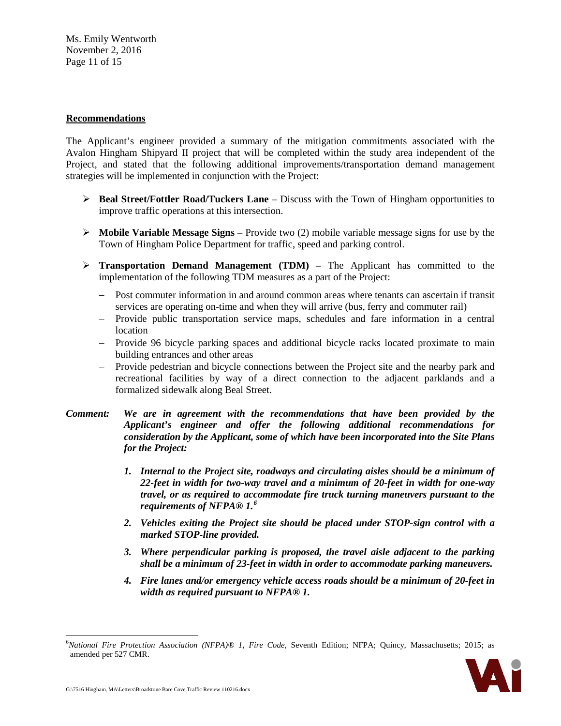Ms. Emily Wentworth November 2, 2016 Page 11 of 15

#### **Recommendations**

The Applicant's engineer provided a summary of the mitigation commitments associated with the Avalon Hingham Shipyard II project that will be completed within the study area independent of the Project, and stated that the following additional improvements/transportation demand management strategies will be implemented in conjunction with the Project:

- **Beal Street/Fottler Road/Tuckers Lane** Discuss with the Town of Hingham opportunities to improve traffic operations at this intersection.
- **Mobile Variable Message Signs** Provide two (2) mobile variable message signs for use by the Town of Hingham Police Department for traffic, speed and parking control.
- **Transportation Demand Management (TDM)** The Applicant has committed to the implementation of the following TDM measures as a part of the Project:
	- − Post commuter information in and around common areas where tenants can ascertain if transit services are operating on-time and when they will arrive (bus, ferry and commuter rail)
	- − Provide public transportation service maps, schedules and fare information in a central location
	- − Provide 96 bicycle parking spaces and additional bicycle racks located proximate to main building entrances and other areas
	- − Provide pedestrian and bicycle connections between the Project site and the nearby park and recreational facilities by way of a direct connection to the adjacent parklands and a formalized sidewalk along Beal Street.
- *Comment: We are in agreement with the recommendations that have been provided by the Applicant's engineer and offer the following additional recommendations for consideration by the Applicant, some of which have been incorporated into the Site Plans for the Project:*
	- *1. Internal to the Project site, roadways and circulating aisles should be a minimum of 22-feet in width for two-way travel and a minimum of 20-feet in width for one-way travel, or as required to accommodate fire truck turning maneuvers pursuant to the requirements of NFPA® 1. [6](#page-10-0)*
	- *2. Vehicles exiting the Project site should be placed under STOP-sign control with a marked STOP-line provided.*
	- *3. Where perpendicular parking is proposed, the travel aisle adjacent to the parking shall be a minimum of 23-feet in width in order to accommodate parking maneuvers.*
	- *4. Fire lanes and/or emergency vehicle access roads should be a minimum of 20-feet in width as required pursuant to NFPA® 1.*

<span id="page-10-0"></span> <sup>6</sup> *National Fire Protection Association (NFPA)® 1, Fire Code*, Seventh Edition; NFPA; Quincy, Massachusetts; 2015; as amended per 527 CMR.

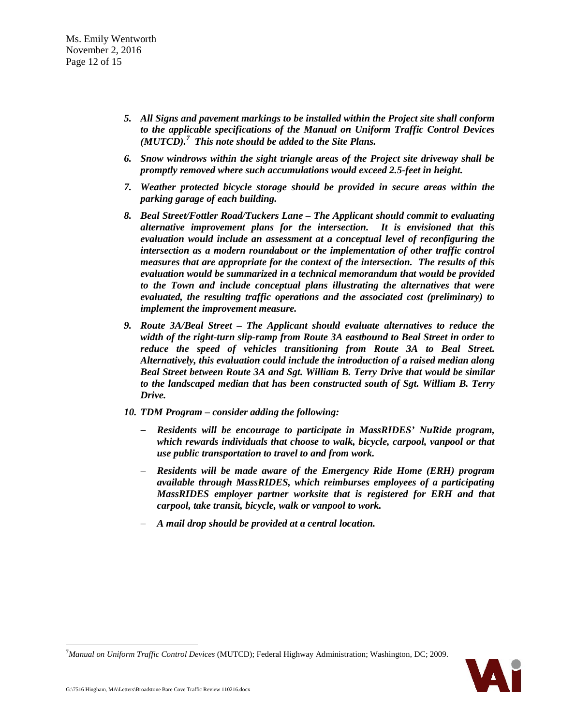- *5. All Signs and pavement markings to be installed within the Project site shall conform to the applicable specifications of the Manual on Uniform Traffic Control Devices (MUTCD).[7](#page-11-0) This note should be added to the Site Plans.*
- *6. Snow windrows within the sight triangle areas of the Project site driveway shall be promptly removed where such accumulations would exceed 2.5-feet in height.*
- *7. Weather protected bicycle storage should be provided in secure areas within the parking garage of each building.*
- *8. Beal Street/Fottler Road/Tuckers Lane – The Applicant should commit to evaluating alternative improvement plans for the intersection. It is envisioned that this evaluation would include an assessment at a conceptual level of reconfiguring the intersection as a modern roundabout or the implementation of other traffic control measures that are appropriate for the context of the intersection. The results of this evaluation would be summarized in a technical memorandum that would be provided to the Town and include conceptual plans illustrating the alternatives that were evaluated, the resulting traffic operations and the associated cost (preliminary) to implement the improvement measure.*
- *9. Route 3A/Beal Street – The Applicant should evaluate alternatives to reduce the width of the right-turn slip-ramp from Route 3A eastbound to Beal Street in order to reduce the speed of vehicles transitioning from Route 3A to Beal Street. Alternatively, this evaluation could include the introduction of a raised median along Beal Street between Route 3A and Sgt. William B. Terry Drive that would be similar to the landscaped median that has been constructed south of Sgt. William B. Terry Drive.*
- *10. TDM Program – consider adding the following:*
	- − *Residents will be encourage to participate in MassRIDES' NuRide program, which rewards individuals that choose to walk, bicycle, carpool, vanpool or that use public transportation to travel to and from work.*
	- − *Residents will be made aware of the Emergency Ride Home (ERH) program available through MassRIDES, which reimburses employees of a participating MassRIDES employer partner worksite that is registered for ERH and that carpool, take transit, bicycle, walk or vanpool to work.*
	- − *A mail drop should be provided at a central location.*

<span id="page-11-0"></span><sup>-&</sup>lt;br>7 *Manual on Uniform Traffic Control Devices* (MUTCD); Federal Highway Administration; Washington, DC; 2009.

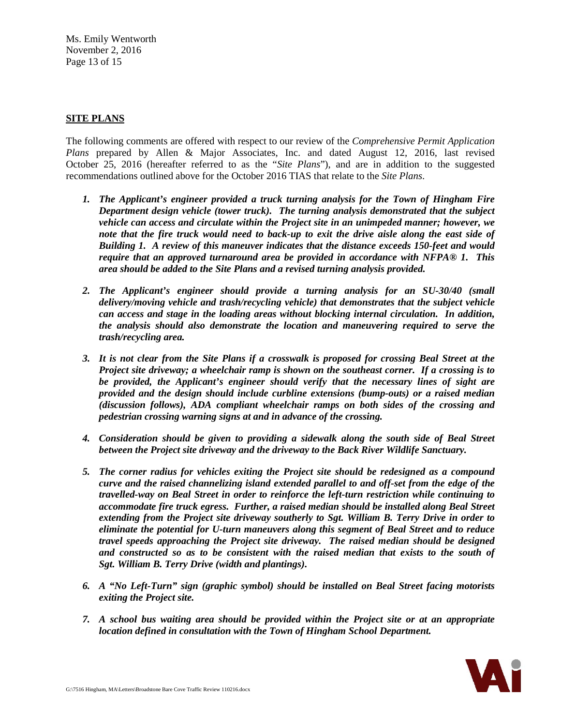Ms. Emily Wentworth November 2, 2016 Page 13 of 15

# **SITE PLANS**

The following comments are offered with respect to our review of the *Comprehensive Permit Application Plans* prepared by Allen & Major Associates, Inc. and dated August 12, 2016, last revised October 25, 2016 (hereafter referred to as the "*Site Plans*"), and are in addition to the suggested recommendations outlined above for the October 2016 TIAS that relate to the *Site Plans*.

- *1. The Applicant's engineer provided a truck turning analysis for the Town of Hingham Fire Department design vehicle (tower truck). The turning analysis demonstrated that the subject vehicle can access and circulate within the Project site in an unimpeded manner; however, we note that the fire truck would need to back-up to exit the drive aisle along the east side of Building 1. A review of this maneuver indicates that the distance exceeds 150-feet and would require that an approved turnaround area be provided in accordance with NFPA® 1. This area should be added to the Site Plans and a revised turning analysis provided.*
- 2. The Applicant's engineer should provide a turning analysis for an SU-30/40 (small *delivery/moving vehicle and trash/recycling vehicle) that demonstrates that the subject vehicle can access and stage in the loading areas without blocking internal circulation. In addition, the analysis should also demonstrate the location and maneuvering required to serve the trash/recycling area.*
- *3. It is not clear from the Site Plans if a crosswalk is proposed for crossing Beal Street at the Project site driveway; a wheelchair ramp is shown on the southeast corner. If a crossing is to be provided, the Applicant's engineer should verify that the necessary lines of sight are provided and the design should include curbline extensions (bump-outs) or a raised median (discussion follows), ADA compliant wheelchair ramps on both sides of the crossing and pedestrian crossing warning signs at and in advance of the crossing.*
- *4. Consideration should be given to providing a sidewalk along the south side of Beal Street between the Project site driveway and the driveway to the Back River Wildlife Sanctuary.*
- *5. The corner radius for vehicles exiting the Project site should be redesigned as a compound curve and the raised channelizing island extended parallel to and off-set from the edge of the travelled-way on Beal Street in order to reinforce the left-turn restriction while continuing to accommodate fire truck egress. Further, a raised median should be installed along Beal Street extending from the Project site driveway southerly to Sgt. William B. Terry Drive in order to eliminate the potential for U-turn maneuvers along this segment of Beal Street and to reduce travel speeds approaching the Project site driveway. The raised median should be designed and constructed so as to be consistent with the raised median that exists to the south of Sgt. William B. Terry Drive (width and plantings).*
- *6. A "No Left-Turn" sign (graphic symbol) should be installed on Beal Street facing motorists exiting the Project site.*
- *7. A school bus waiting area should be provided within the Project site or at an appropriate location defined in consultation with the Town of Hingham School Department.*

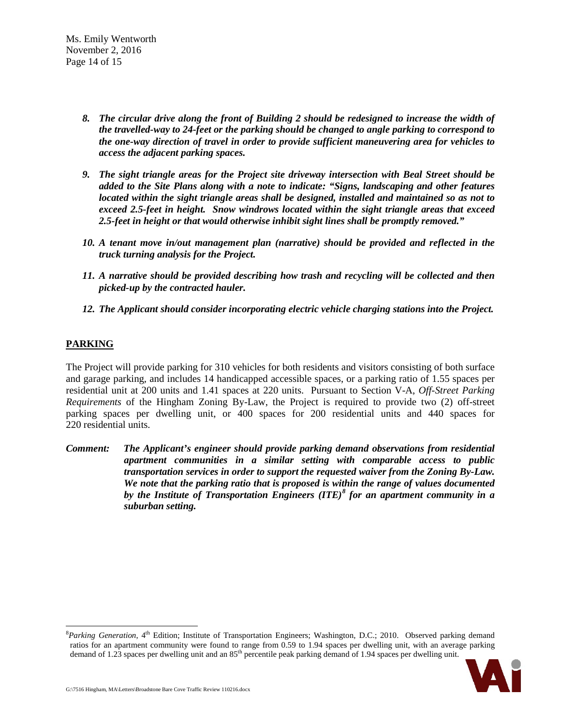Ms. Emily Wentworth November 2, 2016 Page 14 of 15

- *8. The circular drive along the front of Building 2 should be redesigned to increase the width of the travelled-way to 24-feet or the parking should be changed to angle parking to correspond to the one-way direction of travel in order to provide sufficient maneuvering area for vehicles to access the adjacent parking spaces.*
- *9. The sight triangle areas for the Project site driveway intersection with Beal Street should be added to the Site Plans along with a note to indicate: "Signs, landscaping and other features located within the sight triangle areas shall be designed, installed and maintained so as not to exceed 2.5-feet in height. Snow windrows located within the sight triangle areas that exceed 2.5-feet in height or that would otherwise inhibit sight lines shall be promptly removed."*
- *10. A tenant move in/out management plan (narrative) should be provided and reflected in the truck turning analysis for the Project.*
- *11. A narrative should be provided describing how trash and recycling will be collected and then picked-up by the contracted hauler.*
- *12. The Applicant should consider incorporating electric vehicle charging stations into the Project.*

# **PARKING**

The Project will provide parking for 310 vehicles for both residents and visitors consisting of both surface and garage parking, and includes 14 handicapped accessible spaces, or a parking ratio of 1.55 spaces per residential unit at 200 units and 1.41 spaces at 220 units. Pursuant to Section V-A, *Off-Street Parking Requirements* of the Hingham Zoning By-Law, the Project is required to provide two (2) off-street parking spaces per dwelling unit, or 400 spaces for 200 residential units and 440 spaces for 220 residential units.

*Comment: The Applicant's engineer should provide parking demand observations from residential apartment communities in a similar setting with comparable access to public transportation services in order to support the requested waiver from the Zoning By-Law. We note that the parking ratio that is proposed is within the range of values documented by the Institute of Transportation Engineers (ITE)[8](#page-13-0) for an apartment community in a suburban setting.*

<span id="page-13-0"></span> <sup>8</sup> <sup>8</sup>Parking Generation, 4<sup>th</sup> Edition; Institute of Transportation Engineers; Washington, D.C.; 2010. Observed parking demand ratios for an apartment community were found to range from 0.59 to 1.94 spaces per dwelling unit, with an average parking demand of 1.23 spaces per dwelling unit and an 85<sup>th</sup> percentile peak parking demand of 1.94 spaces per dwelling unit.